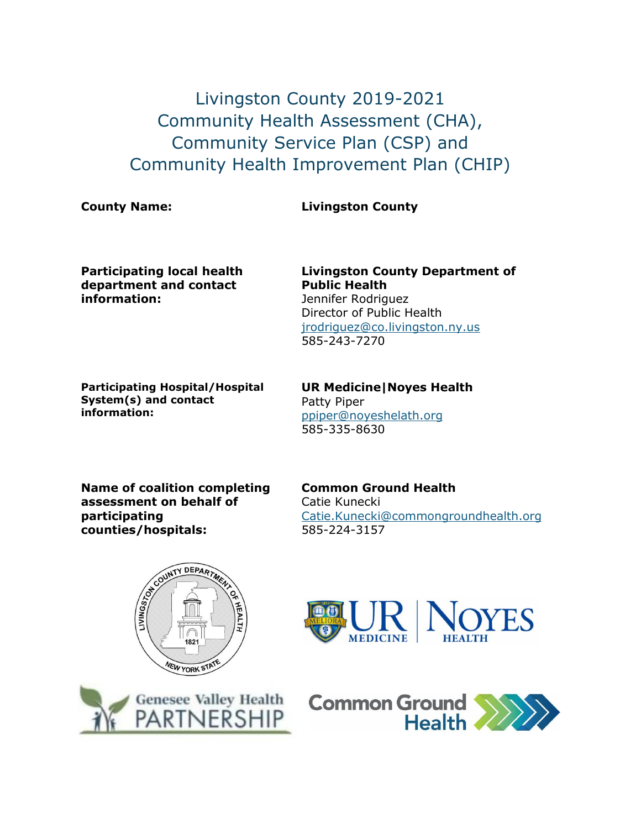Livingston County 2019-2021 Community Health Assessment (CHA), Community Service Plan (CSP) and Community Health Improvement Plan (CHIP)

## **County Name: Livingston County**

**Participating local health department and contact information:**

**Livingston County Department of Public Health** Jennifer Rodriguez Director of Public Health [jrodriguez@co.livingston.ny.us](mailto:jrodriguez@co.livingston.ny.us) 585-243-7270

**Participating Hospital/Hospital System(s) and contact information:**

**UR Medicine|Noyes Health** Patty Piper [ppiper@noyeshelath.org](mailto:ppiper@noyeshelath.org) 585-335-8630

**Name of coalition completing assessment on behalf of participating counties/hospitals:**

**Common Ground Health** Catie Kunecki [Catie.Kunecki@commongroundhealth.org](mailto:Catie.Kunecki@commongroundhealth.org) 585-224-3157







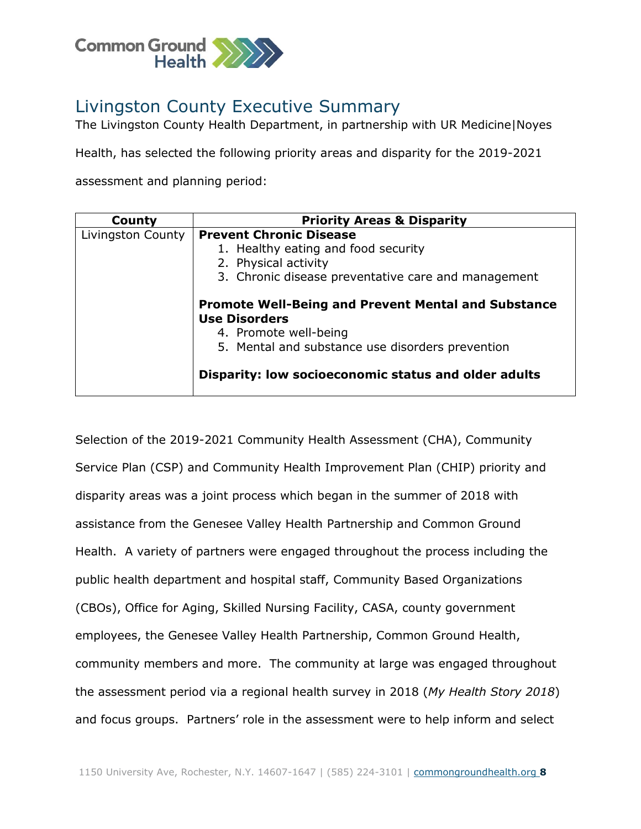

# Livingston County Executive Summary

The Livingston County Health Department, in partnership with UR Medicine|Noyes

Health, has selected the following priority areas and disparity for the 2019-2021

assessment and planning period:

| County            | <b>Priority Areas &amp; Disparity</b>                                                                                                                                                                                   |
|-------------------|-------------------------------------------------------------------------------------------------------------------------------------------------------------------------------------------------------------------------|
| Livingston County | <b>Prevent Chronic Disease</b>                                                                                                                                                                                          |
|                   | 1. Healthy eating and food security                                                                                                                                                                                     |
|                   | 2. Physical activity                                                                                                                                                                                                    |
|                   | 3. Chronic disease preventative care and management                                                                                                                                                                     |
|                   | <b>Promote Well-Being and Prevent Mental and Substance</b><br><b>Use Disorders</b><br>4. Promote well-being<br>5. Mental and substance use disorders prevention<br>Disparity: low socioeconomic status and older adults |
|                   |                                                                                                                                                                                                                         |

Selection of the 2019-2021 Community Health Assessment (CHA), Community Service Plan (CSP) and Community Health Improvement Plan (CHIP) priority and disparity areas was a joint process which began in the summer of 2018 with assistance from the Genesee Valley Health Partnership and Common Ground Health. A variety of partners were engaged throughout the process including the public health department and hospital staff, Community Based Organizations (CBOs), Office for Aging, Skilled Nursing Facility, CASA, county government employees, the Genesee Valley Health Partnership, Common Ground Health, community members and more. The community at large was engaged throughout the assessment period via a regional health survey in 2018 (*My Health Story 2018*) and focus groups. Partners' role in the assessment were to help inform and select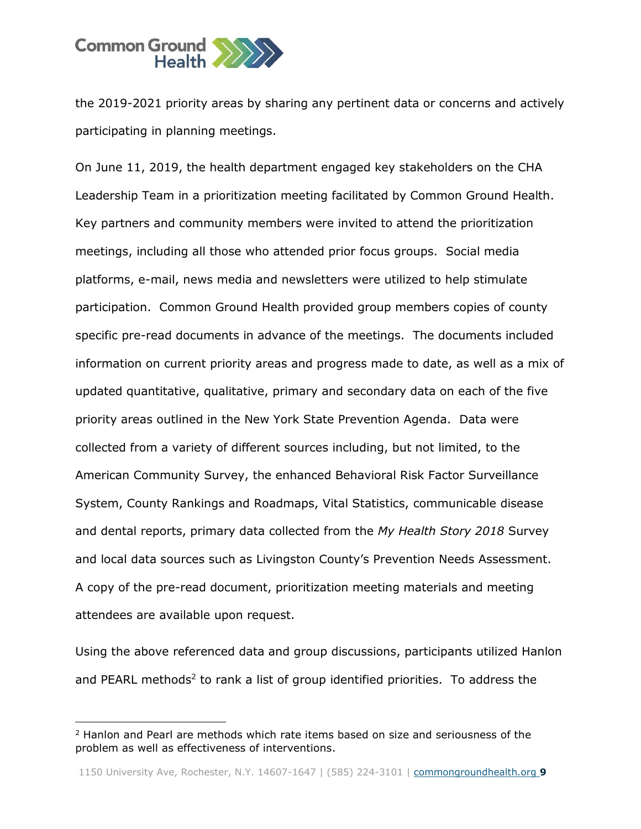

the 2019-2021 priority areas by sharing any pertinent data or concerns and actively participating in planning meetings.

On June 11, 2019, the health department engaged key stakeholders on the CHA Leadership Team in a prioritization meeting facilitated by Common Ground Health. Key partners and community members were invited to attend the prioritization meetings, including all those who attended prior focus groups. Social media platforms, e-mail, news media and newsletters were utilized to help stimulate participation. Common Ground Health provided group members copies of county specific pre-read documents in advance of the meetings. The documents included information on current priority areas and progress made to date, as well as a mix of updated quantitative, qualitative, primary and secondary data on each of the five priority areas outlined in the New York State Prevention Agenda. Data were collected from a variety of different sources including, but not limited, to the American Community Survey, the enhanced Behavioral Risk Factor Surveillance System, County Rankings and Roadmaps, Vital Statistics, communicable disease and dental reports, primary data collected from the *My Health Story 2018* Survey and local data sources such as Livingston County's Prevention Needs Assessment. A copy of the pre-read document, prioritization meeting materials and meeting attendees are available upon request.

Using the above referenced data and group discussions, participants utilized Hanlon and PEARL methods<sup>2</sup> to rank a list of group identified priorities. To address the

j

<sup>2</sup> Hanlon and Pearl are methods which rate items based on size and seriousness of the problem as well as effectiveness of interventions.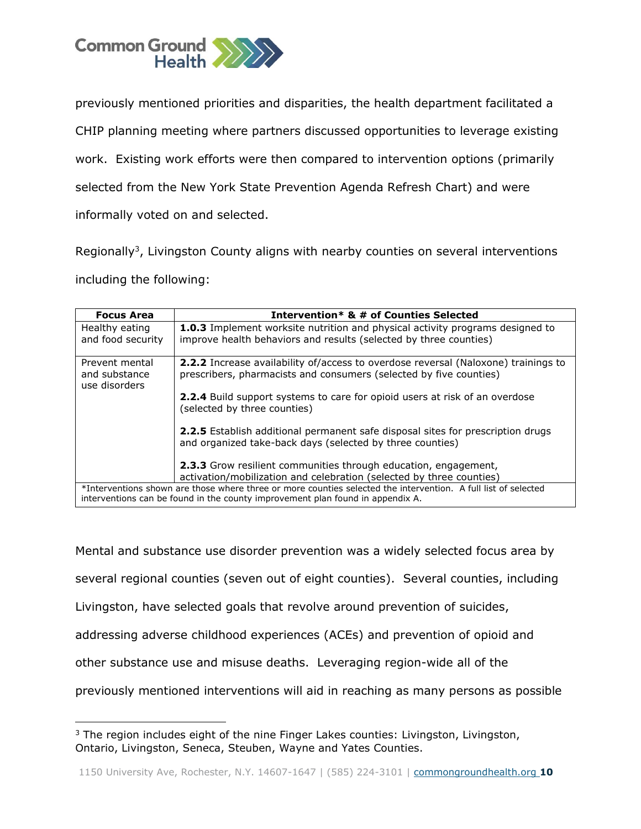

previously mentioned priorities and disparities, the health department facilitated a CHIP planning meeting where partners discussed opportunities to leverage existing work. Existing work efforts were then compared to intervention options (primarily selected from the New York State Prevention Agenda Refresh Chart) and were informally voted on and selected.

Regionally<sup>3</sup>, Livingston County aligns with nearby counties on several interventions including the following:

| <b>Focus Area</b>                                                                                                                                                                                                   | Intervention* & # of Counties Selected                                                                                                                                                           |  |  |  |  |  |  |  |
|---------------------------------------------------------------------------------------------------------------------------------------------------------------------------------------------------------------------|--------------------------------------------------------------------------------------------------------------------------------------------------------------------------------------------------|--|--|--|--|--|--|--|
| Healthy eating<br>and food security                                                                                                                                                                                 | <b>1.0.3</b> Implement worksite nutrition and physical activity programs designed to<br>improve health behaviors and results (selected by three counties)                                        |  |  |  |  |  |  |  |
| <b>2.2.2</b> Increase availability of/access to overdose reversal (Naloxone) trainings to<br>Prevent mental<br>prescribers, pharmacists and consumers (selected by five counties)<br>and substance<br>use disorders |                                                                                                                                                                                                  |  |  |  |  |  |  |  |
| <b>2.2.4</b> Build support systems to care for opioid users at risk of an overdose<br>(selected by three counties)                                                                                                  |                                                                                                                                                                                                  |  |  |  |  |  |  |  |
|                                                                                                                                                                                                                     | <b>2.2.5</b> Establish additional permanent safe disposal sites for prescription drugs<br>and organized take-back days (selected by three counties)                                              |  |  |  |  |  |  |  |
|                                                                                                                                                                                                                     | <b>2.3.3</b> Grow resilient communities through education, engagement,                                                                                                                           |  |  |  |  |  |  |  |
|                                                                                                                                                                                                                     | activation/mobilization and celebration (selected by three counties)                                                                                                                             |  |  |  |  |  |  |  |
|                                                                                                                                                                                                                     | *Interventions shown are those where three or more counties selected the intervention. A full list of selected<br>interventions can be found in the county improvement plan found in appendix A. |  |  |  |  |  |  |  |

Mental and substance use disorder prevention was a widely selected focus area by several regional counties (seven out of eight counties). Several counties, including Livingston, have selected goals that revolve around prevention of suicides, addressing adverse childhood experiences (ACEs) and prevention of opioid and other substance use and misuse deaths. Leveraging region-wide all of the previously mentioned interventions will aid in reaching as many persons as possible

j

<sup>&</sup>lt;sup>3</sup> The region includes eight of the nine Finger Lakes counties: Livingston, Livingston, Ontario, Livingston, Seneca, Steuben, Wayne and Yates Counties.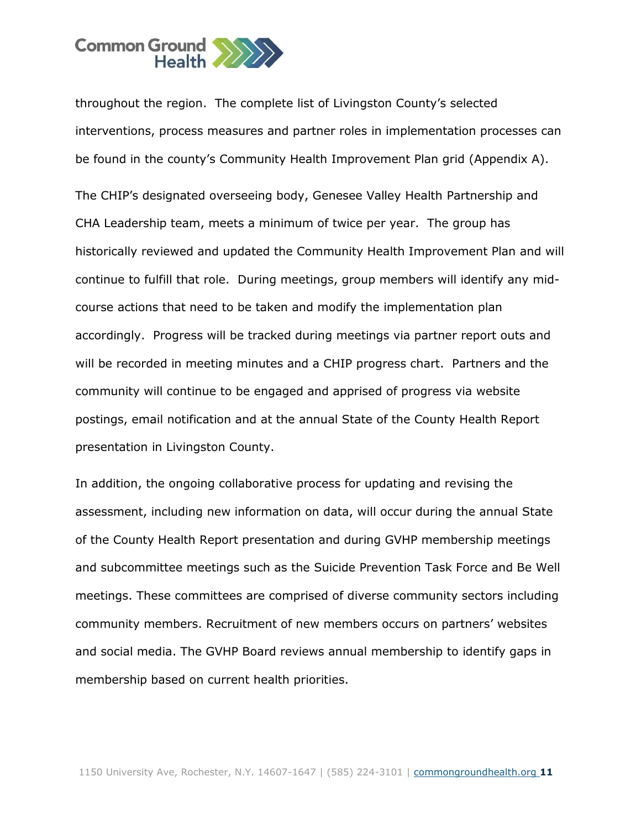

throughout the region. The complete list of Livingston County's selected interventions, process measures and partner roles in implementation processes can be found in the county's Community Health Improvement Plan grid (Appendix A).

The CHIP's designated overseeing body, Genesee Valley Health Partnership and CHA Leadership team, meets a minimum of twice per year. The group has historically reviewed and updated the Community Health Improvement Plan and will continue to fulfill that role. During meetings, group members will identify any midcourse actions that need to be taken and modify the implementation plan accordingly. Progress will be tracked during meetings via partner report outs and will be recorded in meeting minutes and a CHIP progress chart. Partners and the community will continue to be engaged and apprised of progress via website postings, email notification and at the annual State of the County Health Report presentation in Livingston County.

In addition, the ongoing collaborative process for updating and revising the assessment, including new information on data, will occur during the annual State of the County Health Report presentation and during GVHP membership meetings and subcommittee meetings such as the Suicide Prevention Task Force and Be Well meetings. These committees are comprised of diverse community sectors including community members. Recruitment of new members occurs on partners' websites and social media. The GVHP Board reviews annual membership to identify gaps in membership based on current health priorities.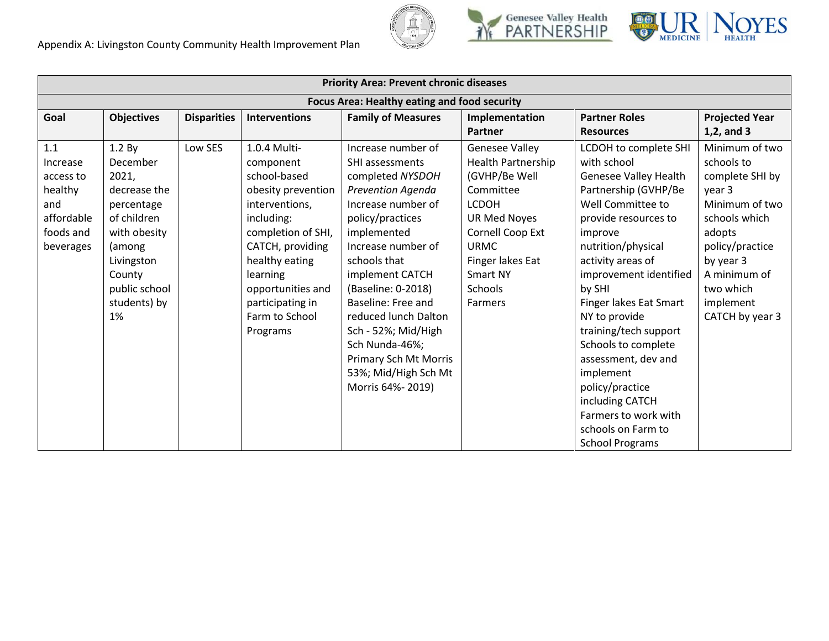





|            | <b>Priority Area: Prevent chronic diseases</b> |                    |                      |                           |                       |                        |                       |
|------------|------------------------------------------------|--------------------|----------------------|---------------------------|-----------------------|------------------------|-----------------------|
|            | Focus Area: Healthy eating and food security   |                    |                      |                           |                       |                        |                       |
| Goal       | <b>Objectives</b>                              | <b>Disparities</b> | <b>Interventions</b> | <b>Family of Measures</b> | Implementation        | <b>Partner Roles</b>   | <b>Projected Year</b> |
|            |                                                |                    |                      |                           | <b>Partner</b>        | <b>Resources</b>       | $1,2$ , and 3         |
| 1.1        | 1.2 By                                         | Low SES            | 1.0.4 Multi-         | Increase number of        | <b>Genesee Valley</b> | LCDOH to complete SHI  | Minimum of two        |
| Increase   | December                                       |                    | component            | SHI assessments           | Health Partnership    | with school            | schools to            |
| access to  | 2021,                                          |                    | school-based         | completed NYSDOH          | (GVHP/Be Well         | Genesee Valley Health  | complete SHI by       |
| healthy    | decrease the                                   |                    | obesity prevention   | <b>Prevention Agenda</b>  | Committee             | Partnership (GVHP/Be   | year 3                |
| and        | percentage                                     |                    | interventions,       | Increase number of        | <b>LCDOH</b>          | Well Committee to      | Minimum of two        |
| affordable | of children                                    |                    | including:           | policy/practices          | <b>UR Med Noyes</b>   | provide resources to   | schools which         |
| foods and  | with obesity                                   |                    | completion of SHI,   | implemented               | Cornell Coop Ext      | improve                | adopts                |
| beverages  | (among                                         |                    | CATCH, providing     | Increase number of        | <b>URMC</b>           | nutrition/physical     | policy/practice       |
|            | Livingston                                     |                    | healthy eating       | schools that              | Finger lakes Eat      | activity areas of      | by year 3             |
|            | County                                         |                    | learning             | implement CATCH           | <b>Smart NY</b>       | improvement identified | A minimum of          |
|            | public school                                  |                    | opportunities and    | (Baseline: 0-2018)        | Schools               | by SHI                 | two which             |
|            | students) by                                   |                    | participating in     | Baseline: Free and        | Farmers               | Finger lakes Eat Smart | implement             |
|            | 1%                                             |                    | Farm to School       | reduced lunch Dalton      |                       | NY to provide          | CATCH by year 3       |
|            |                                                |                    | Programs             | Sch - 52%; Mid/High       |                       | training/tech support  |                       |
|            |                                                |                    |                      | Sch Nunda-46%;            |                       | Schools to complete    |                       |
|            |                                                |                    |                      | Primary Sch Mt Morris     |                       | assessment, dev and    |                       |
|            |                                                |                    |                      | 53%; Mid/High Sch Mt      |                       | implement              |                       |
|            |                                                |                    |                      | Morris 64%-2019)          |                       | policy/practice        |                       |
|            |                                                |                    |                      |                           |                       | including CATCH        |                       |
|            |                                                |                    |                      |                           |                       | Farmers to work with   |                       |
|            |                                                |                    |                      |                           |                       | schools on Farm to     |                       |
|            |                                                |                    |                      |                           |                       | <b>School Programs</b> |                       |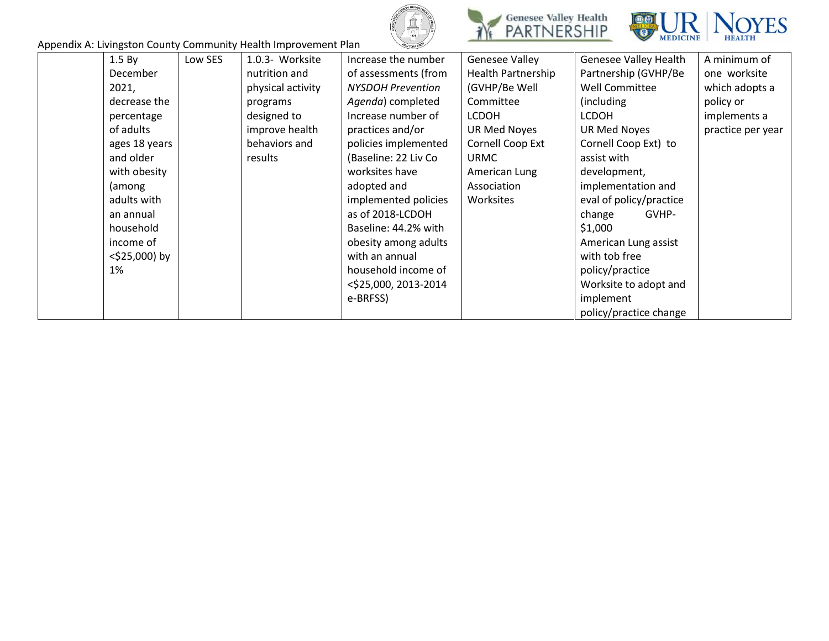





| Appendix A: Livingston County Community Health Improvement Plan |
|-----------------------------------------------------------------|
|-----------------------------------------------------------------|

| 1.5 By           | Low SES | 1.0.3- Worksite   | Increase the number      | <b>Genesee Valley</b>     | <b>Genesee Valley Health</b> | A minimum of      |
|------------------|---------|-------------------|--------------------------|---------------------------|------------------------------|-------------------|
| December         |         | nutrition and     | of assessments (from     | <b>Health Partnership</b> | Partnership (GVHP/Be         | one worksite      |
| 2021,            |         | physical activity | <b>NYSDOH Prevention</b> | (GVHP/Be Well             | Well Committee               | which adopts a    |
| decrease the     |         | programs          | Agenda) completed        | Committee                 | (including)                  | policy or         |
| percentage       |         | designed to       | Increase number of       | <b>LCDOH</b>              | <b>LCDOH</b>                 | implements a      |
| of adults        |         | improve health    | practices and/or         | UR Med Noyes              | <b>UR Med Noyes</b>          | practice per year |
| ages 18 years    |         | behaviors and     | policies implemented     | Cornell Coop Ext          | Cornell Coop Ext) to         |                   |
| and older        |         | results           | (Baseline: 22 Liv Co     | URMC                      | assist with                  |                   |
| with obesity     |         |                   | worksites have           | American Lung             | development,                 |                   |
| (among           |         |                   | adopted and              | Association               | implementation and           |                   |
| adults with      |         |                   | implemented policies     | Worksites                 | eval of policy/practice      |                   |
| an annual        |         |                   | as of 2018-LCDOH         |                           | GVHP-<br>change              |                   |
| household        |         |                   | Baseline: 44.2% with     |                           | \$1,000                      |                   |
| income of        |         |                   | obesity among adults     |                           | American Lung assist         |                   |
| $<$ \$25,000) by |         |                   | with an annual           |                           | with tob free                |                   |
| 1%               |         |                   | household income of      |                           | policy/practice              |                   |
|                  |         |                   | <\$25,000, 2013-2014     |                           | Worksite to adopt and        |                   |
|                  |         |                   | e-BRFSS)                 |                           | implement                    |                   |
|                  |         |                   |                          |                           | policy/practice change       |                   |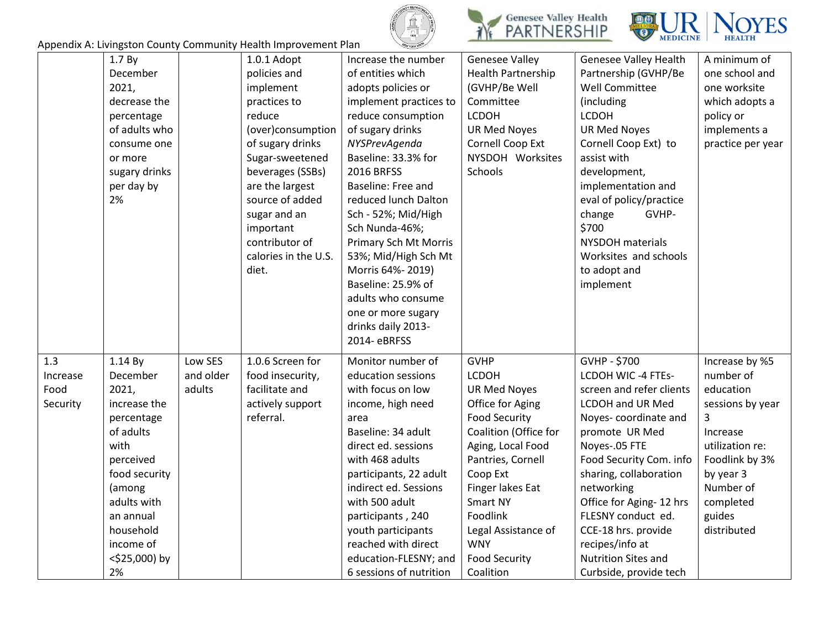





|                                     | 1.7 By<br>December<br>2021,<br>decrease the<br>percentage<br>of adults who<br>consume one<br>or more<br>sugary drinks<br>per day by<br>2%                                                            |                                | 1.0.1 Adopt<br>policies and<br>implement<br>practices to<br>reduce<br>(over)consumption<br>of sugary drinks<br>Sugar-sweetened<br>beverages (SSBs)<br>are the largest<br>source of added<br>sugar and an<br>important<br>contributor of<br>calories in the U.S.<br>diet. | Increase the number<br>of entities which<br>adopts policies or<br>implement practices to<br>reduce consumption<br>of sugary drinks<br>NYSPrevAgenda<br>Baseline: 33.3% for<br><b>2016 BRFSS</b><br>Baseline: Free and<br>reduced lunch Dalton<br>Sch - 52%; Mid/High<br>Sch Nunda-46%;<br>Primary Sch Mt Morris<br>53%; Mid/High Sch Mt<br>Morris 64%-2019)<br>Baseline: 25.9% of<br>adults who consume<br>one or more sugary<br>drinks daily 2013-<br>2014-eBRFSS | <b>Genesee Valley</b><br><b>Health Partnership</b><br>(GVHP/Be Well<br>Committee<br><b>LCDOH</b><br><b>UR Med Noyes</b><br>Cornell Coop Ext<br>NYSDOH Worksites<br><b>Schools</b>                                                                                                                   | <b>Genesee Valley Health</b><br>Partnership (GVHP/Be<br><b>Well Committee</b><br>(including<br><b>LCDOH</b><br><b>UR Med Noyes</b><br>Cornell Coop Ext) to<br>assist with<br>development,<br>implementation and<br>eval of policy/practice<br>GVHP-<br>change<br>\$700<br><b>NYSDOH</b> materials<br>Worksites and schools<br>to adopt and<br>implement                   | A minimum of<br>one school and<br>one worksite<br>which adopts a<br>policy or<br>implements a<br>practice per year                                                                 |
|-------------------------------------|------------------------------------------------------------------------------------------------------------------------------------------------------------------------------------------------------|--------------------------------|--------------------------------------------------------------------------------------------------------------------------------------------------------------------------------------------------------------------------------------------------------------------------|--------------------------------------------------------------------------------------------------------------------------------------------------------------------------------------------------------------------------------------------------------------------------------------------------------------------------------------------------------------------------------------------------------------------------------------------------------------------|-----------------------------------------------------------------------------------------------------------------------------------------------------------------------------------------------------------------------------------------------------------------------------------------------------|---------------------------------------------------------------------------------------------------------------------------------------------------------------------------------------------------------------------------------------------------------------------------------------------------------------------------------------------------------------------------|------------------------------------------------------------------------------------------------------------------------------------------------------------------------------------|
| 1.3<br>Increase<br>Food<br>Security | 1.14 By<br>December<br>2021,<br>increase the<br>percentage<br>of adults<br>with<br>perceived<br>food security<br>(among<br>adults with<br>an annual<br>household<br>income of<br><\$25,000) by<br>2% | Low SES<br>and older<br>adults | 1.0.6 Screen for<br>food insecurity,<br>facilitate and<br>actively support<br>referral.                                                                                                                                                                                  | Monitor number of<br>education sessions<br>with focus on low<br>income, high need<br>area<br>Baseline: 34 adult<br>direct ed. sessions<br>with 468 adults<br>participants, 22 adult<br>indirect ed. Sessions<br>with 500 adult<br>participants, 240<br>youth participants<br>reached with direct<br>education-FLESNY; and<br>6 sessions of nutrition                                                                                                               | <b>GVHP</b><br><b>LCDOH</b><br><b>UR Med Noyes</b><br>Office for Aging<br><b>Food Security</b><br>Coalition (Office for<br>Aging, Local Food<br>Pantries, Cornell<br>Coop Ext<br>Finger lakes Eat<br>Smart NY<br>Foodlink<br>Legal Assistance of<br><b>WNY</b><br><b>Food Security</b><br>Coalition | GVHP - \$700<br><b>LCDOH WIC-4 FTEs-</b><br>screen and refer clients<br><b>LCDOH and UR Med</b><br>Noyes-coordinate and<br>promote UR Med<br>Noyes-.05 FTE<br>Food Security Com. info<br>sharing, collaboration<br>networking<br>Office for Aging-12 hrs<br>FLESNY conduct ed.<br>CCE-18 hrs. provide<br>recipes/info at<br>Nutrition Sites and<br>Curbside, provide tech | Increase by %5<br>number of<br>education<br>sessions by year<br>3<br>Increase<br>utilization re:<br>Foodlink by 3%<br>by year 3<br>Number of<br>completed<br>guides<br>distributed |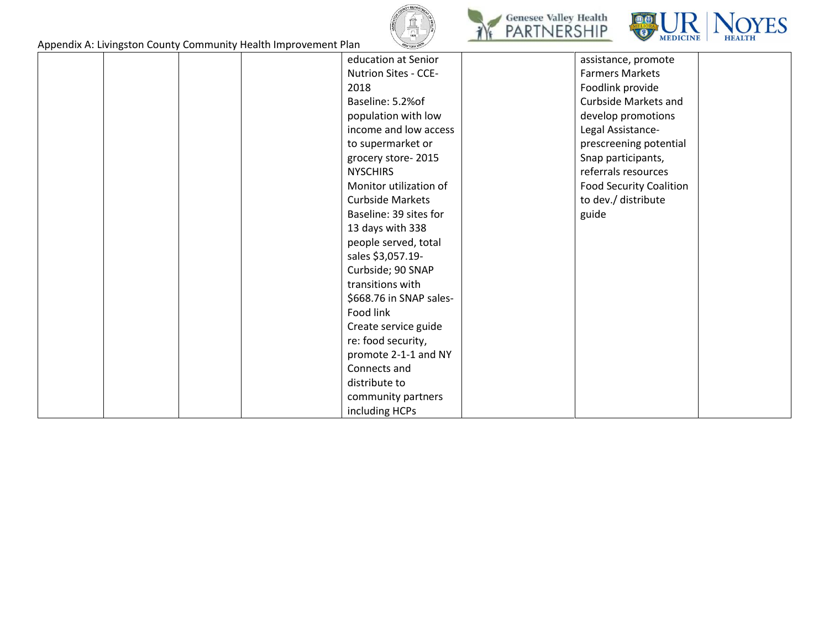







|  | Appendix A. Livingston County Community Health improvement Fiam |                         |                                |  |
|--|-----------------------------------------------------------------|-------------------------|--------------------------------|--|
|  |                                                                 | education at Senior     | assistance, promote            |  |
|  |                                                                 | Nutrion Sites - CCE-    | <b>Farmers Markets</b>         |  |
|  |                                                                 | 2018                    | Foodlink provide               |  |
|  |                                                                 | Baseline: 5.2% of       | Curbside Markets and           |  |
|  |                                                                 | population with low     | develop promotions             |  |
|  |                                                                 | income and low access   | Legal Assistance-              |  |
|  |                                                                 | to supermarket or       | prescreening potential         |  |
|  |                                                                 | grocery store-2015      | Snap participants,             |  |
|  |                                                                 | <b>NYSCHIRS</b>         | referrals resources            |  |
|  |                                                                 | Monitor utilization of  | <b>Food Security Coalition</b> |  |
|  |                                                                 | <b>Curbside Markets</b> | to dev./ distribute            |  |
|  |                                                                 | Baseline: 39 sites for  | guide                          |  |
|  |                                                                 | 13 days with 338        |                                |  |
|  |                                                                 | people served, total    |                                |  |
|  |                                                                 | sales \$3,057.19-       |                                |  |
|  |                                                                 | Curbside; 90 SNAP       |                                |  |
|  |                                                                 | transitions with        |                                |  |
|  |                                                                 | \$668.76 in SNAP sales- |                                |  |
|  |                                                                 | Food link               |                                |  |
|  |                                                                 | Create service guide    |                                |  |
|  |                                                                 | re: food security,      |                                |  |
|  |                                                                 | promote 2-1-1 and NY    |                                |  |
|  |                                                                 | Connects and            |                                |  |
|  |                                                                 | distribute to           |                                |  |
|  |                                                                 | community partners      |                                |  |
|  |                                                                 | including HCPs          |                                |  |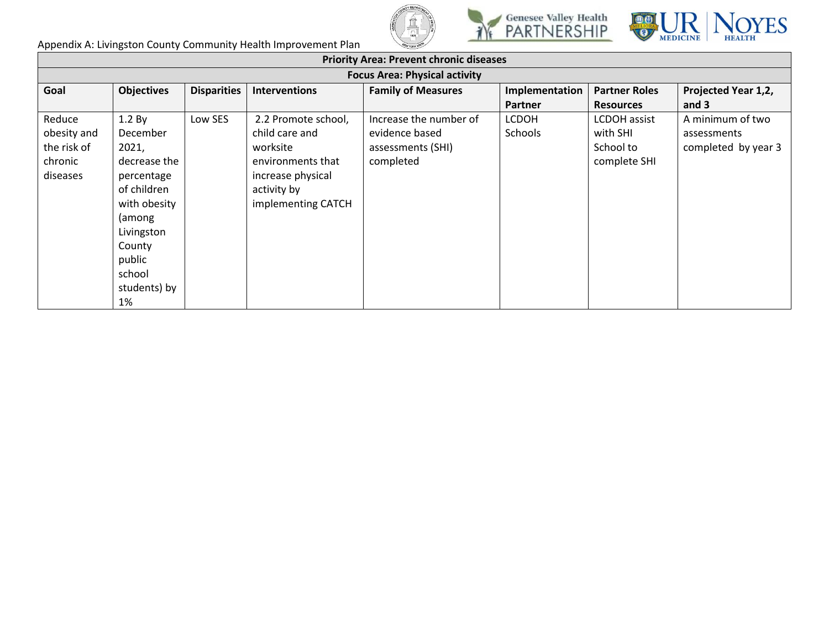





|             |                                      |                    |                      | <b>Priority Area: Prevent chronic diseases</b> |                |                      |                     |  |  |  |
|-------------|--------------------------------------|--------------------|----------------------|------------------------------------------------|----------------|----------------------|---------------------|--|--|--|
|             | <b>Focus Area: Physical activity</b> |                    |                      |                                                |                |                      |                     |  |  |  |
| Goal        | <b>Objectives</b>                    | <b>Disparities</b> | <b>Interventions</b> | <b>Family of Measures</b>                      | Implementation | <b>Partner Roles</b> | Projected Year 1,2, |  |  |  |
|             |                                      |                    |                      |                                                | Partner        | <b>Resources</b>     | and $3$             |  |  |  |
| Reduce      | 1.2 Bv                               | Low SES            | 2.2 Promote school,  | Increase the number of                         | <b>LCDOH</b>   | <b>LCDOH</b> assist  | A minimum of two    |  |  |  |
| obesity and | December                             |                    | child care and       | evidence based                                 | Schools        | with SHI             | assessments         |  |  |  |
| the risk of | 2021,                                |                    | worksite             | assessments (SHI)                              |                | School to            | completed by year 3 |  |  |  |
| chronic     | decrease the                         |                    | environments that    | completed                                      |                | complete SHI         |                     |  |  |  |
| diseases    | percentage                           |                    | increase physical    |                                                |                |                      |                     |  |  |  |
|             | of children                          |                    | activity by          |                                                |                |                      |                     |  |  |  |
|             | with obesity                         |                    | implementing CATCH   |                                                |                |                      |                     |  |  |  |
|             | (among                               |                    |                      |                                                |                |                      |                     |  |  |  |
|             | Livingston                           |                    |                      |                                                |                |                      |                     |  |  |  |
|             | County                               |                    |                      |                                                |                |                      |                     |  |  |  |
|             | public                               |                    |                      |                                                |                |                      |                     |  |  |  |
|             | school                               |                    |                      |                                                |                |                      |                     |  |  |  |
|             | students) by                         |                    |                      |                                                |                |                      |                     |  |  |  |
|             | 1%                                   |                    |                      |                                                |                |                      |                     |  |  |  |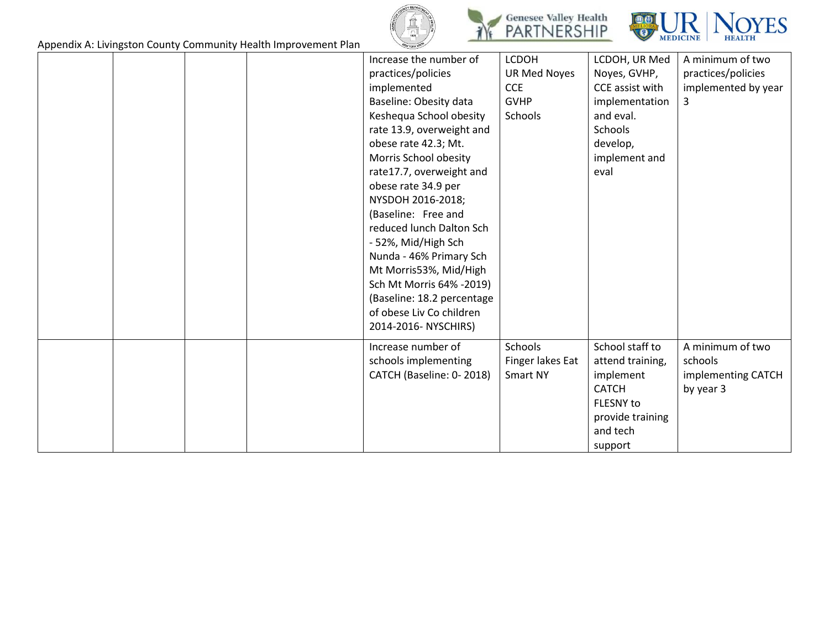







|  |  | Increase the number of     | <b>LCDOH</b>        | LCDOH, UR Med    | A minimum of two    |
|--|--|----------------------------|---------------------|------------------|---------------------|
|  |  | practices/policies         | <b>UR Med Noyes</b> | Noyes, GVHP,     | practices/policies  |
|  |  | implemented                | <b>CCE</b>          | CCE assist with  | implemented by year |
|  |  | Baseline: Obesity data     | <b>GVHP</b>         | implementation   | 3                   |
|  |  | Keshequa School obesity    | Schools             | and eval.        |                     |
|  |  | rate 13.9, overweight and  |                     | <b>Schools</b>   |                     |
|  |  | obese rate 42.3; Mt.       |                     | develop,         |                     |
|  |  | Morris School obesity      |                     | implement and    |                     |
|  |  | rate17.7, overweight and   |                     | eval             |                     |
|  |  | obese rate 34.9 per        |                     |                  |                     |
|  |  | NYSDOH 2016-2018;          |                     |                  |                     |
|  |  | (Baseline: Free and        |                     |                  |                     |
|  |  | reduced lunch Dalton Sch   |                     |                  |                     |
|  |  | - 52%, Mid/High Sch        |                     |                  |                     |
|  |  | Nunda - 46% Primary Sch    |                     |                  |                     |
|  |  | Mt Morris53%, Mid/High     |                     |                  |                     |
|  |  | Sch Mt Morris 64% - 2019)  |                     |                  |                     |
|  |  | (Baseline: 18.2 percentage |                     |                  |                     |
|  |  | of obese Liv Co children   |                     |                  |                     |
|  |  | 2014-2016- NYSCHIRS)       |                     |                  |                     |
|  |  |                            |                     |                  |                     |
|  |  | Increase number of         | Schools             | School staff to  | A minimum of two    |
|  |  | schools implementing       | Finger lakes Eat    | attend training, | schools             |
|  |  | CATCH (Baseline: 0-2018)   | Smart NY            | implement        | implementing CATCH  |
|  |  |                            |                     | <b>CATCH</b>     | by year 3           |
|  |  |                            |                     | <b>FLESNY</b> to |                     |
|  |  |                            |                     | provide training |                     |
|  |  |                            |                     | and tech         |                     |
|  |  |                            |                     | support          |                     |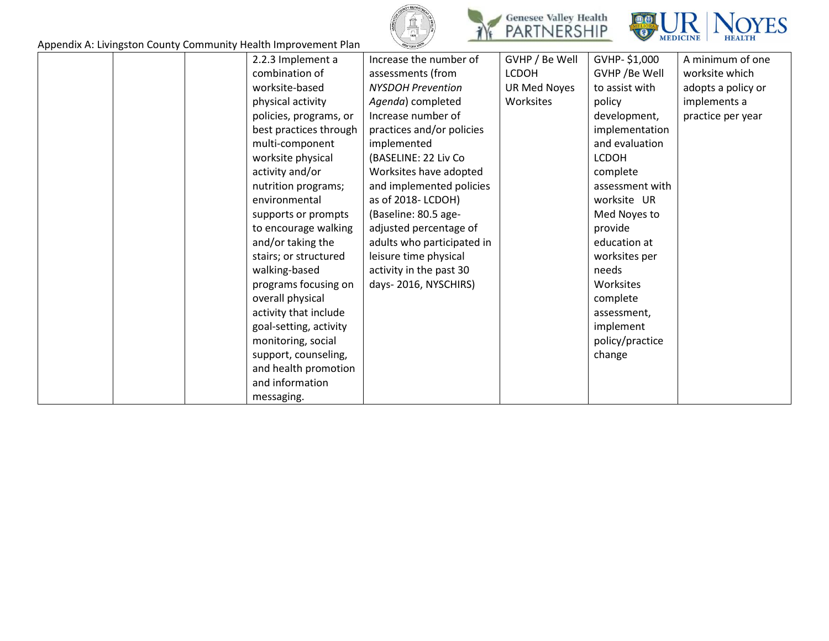





|  | 2.2.3 Implement a      | Increase the number of     | GVHP / Be Well      | GVHP-\$1,000    | A minimum of one   |
|--|------------------------|----------------------------|---------------------|-----------------|--------------------|
|  | combination of         | assessments (from          | <b>LCDOH</b>        | GVHP / Be Well  | worksite which     |
|  | worksite-based         | <b>NYSDOH Prevention</b>   | <b>UR Med Noyes</b> | to assist with  | adopts a policy or |
|  | physical activity      | Agenda) completed          | Worksites           | policy          | implements a       |
|  | policies, programs, or | Increase number of         |                     | development,    | practice per year  |
|  | best practices through | practices and/or policies  |                     | implementation  |                    |
|  | multi-component        | implemented                |                     | and evaluation  |                    |
|  | worksite physical      | (BASELINE: 22 Liv Co       |                     | <b>LCDOH</b>    |                    |
|  | activity and/or        | Worksites have adopted     |                     | complete        |                    |
|  | nutrition programs;    | and implemented policies   |                     | assessment with |                    |
|  | environmental          | as of 2018- LCDOH)         |                     | worksite UR     |                    |
|  | supports or prompts    | (Baseline: 80.5 age-       |                     | Med Noyes to    |                    |
|  | to encourage walking   | adjusted percentage of     |                     | provide         |                    |
|  | and/or taking the      | adults who participated in |                     | education at    |                    |
|  | stairs; or structured  | leisure time physical      |                     | worksites per   |                    |
|  | walking-based          | activity in the past 30    |                     | needs           |                    |
|  | programs focusing on   | days-2016, NYSCHIRS)       |                     | Worksites       |                    |
|  | overall physical       |                            |                     | complete        |                    |
|  | activity that include  |                            |                     | assessment,     |                    |
|  | goal-setting, activity |                            |                     | implement       |                    |
|  | monitoring, social     |                            |                     | policy/practice |                    |
|  | support, counseling,   |                            |                     | change          |                    |
|  | and health promotion   |                            |                     |                 |                    |
|  | and information        |                            |                     |                 |                    |
|  | messaging.             |                            |                     |                 |                    |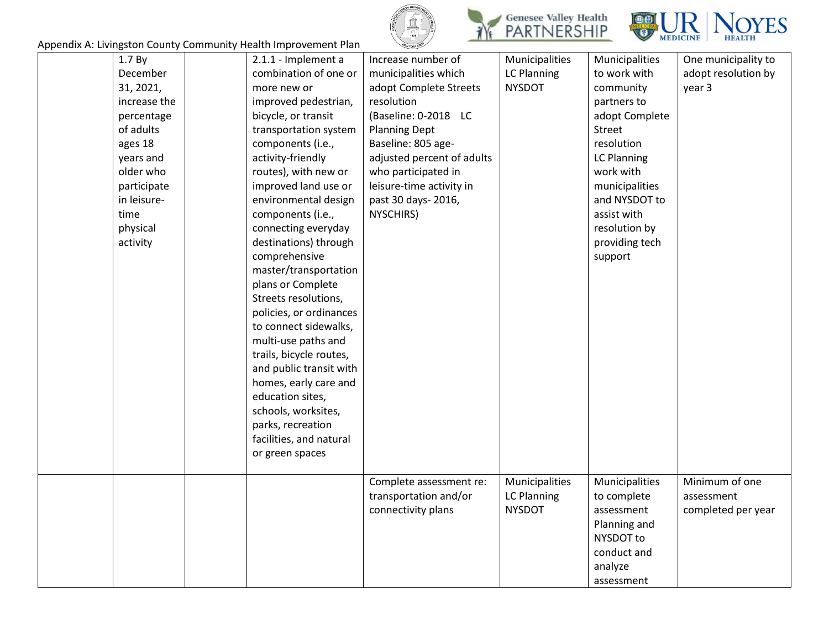





| 1.7 By<br>December<br>31, 2021,<br>increase the<br>percentage<br>of adults<br>ages 18<br>years and<br>older who<br>participate<br>in leisure-<br>time<br>physical<br>activity | 2.1.1 - Implement a<br>combination of one or<br>more new or<br>improved pedestrian,<br>bicycle, or transit<br>transportation system<br>components (i.e.,<br>activity-friendly<br>routes), with new or<br>improved land use or<br>environmental design<br>components (i.e.,<br>connecting everyday<br>destinations) through<br>comprehensive<br>master/transportation<br>plans or Complete<br>Streets resolutions,<br>policies, or ordinances<br>to connect sidewalks,<br>multi-use paths and<br>trails, bicycle routes,<br>and public transit with<br>homes, early care and<br>education sites,<br>schools, worksites,<br>parks, recreation<br>facilities, and natural<br>or green spaces | Increase number of<br>municipalities which<br>adopt Complete Streets<br>resolution<br>(Baseline: 0-2018 LC<br><b>Planning Dept</b><br>Baseline: 805 age-<br>adjusted percent of adults<br>who participated in<br>leisure-time activity in<br>past 30 days-2016,<br>NYSCHIRS) | Municipalities<br><b>LC Planning</b><br><b>NYSDOT</b> | Municipalities<br>to work with<br>community<br>partners to<br>adopt Complete<br>Street<br>resolution<br><b>LC Planning</b><br>work with<br>municipalities<br>and NYSDOT to<br>assist with<br>resolution by<br>providing tech<br>support | One municipality to<br>adopt resolution by<br>year 3 |
|-------------------------------------------------------------------------------------------------------------------------------------------------------------------------------|-------------------------------------------------------------------------------------------------------------------------------------------------------------------------------------------------------------------------------------------------------------------------------------------------------------------------------------------------------------------------------------------------------------------------------------------------------------------------------------------------------------------------------------------------------------------------------------------------------------------------------------------------------------------------------------------|------------------------------------------------------------------------------------------------------------------------------------------------------------------------------------------------------------------------------------------------------------------------------|-------------------------------------------------------|-----------------------------------------------------------------------------------------------------------------------------------------------------------------------------------------------------------------------------------------|------------------------------------------------------|
|                                                                                                                                                                               |                                                                                                                                                                                                                                                                                                                                                                                                                                                                                                                                                                                                                                                                                           | Complete assessment re:<br>transportation and/or<br>connectivity plans                                                                                                                                                                                                       | Municipalities<br><b>LC Planning</b><br><b>NYSDOT</b> | Municipalities<br>to complete<br>assessment<br>Planning and<br>NYSDOT to<br>conduct and<br>analyze<br>assessment                                                                                                                        | Minimum of one<br>assessment<br>completed per year   |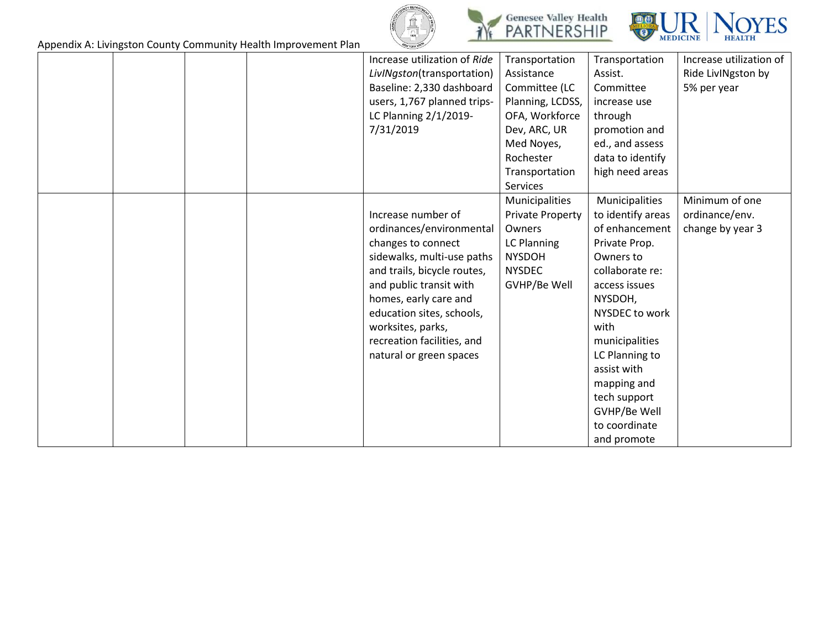





|  | Appendix A. Livingston County Community Health improvement Fight |                              |                         |                   |                         |
|--|------------------------------------------------------------------|------------------------------|-------------------------|-------------------|-------------------------|
|  |                                                                  | Increase utilization of Ride | Transportation          | Transportation    | Increase utilization of |
|  |                                                                  | LivINgston(transportation)   | Assistance              | Assist.           | Ride LivINgston by      |
|  |                                                                  | Baseline: 2,330 dashboard    | Committee (LC           | Committee         | 5% per year             |
|  |                                                                  | users, 1,767 planned trips-  | Planning, LCDSS,        | increase use      |                         |
|  |                                                                  | LC Planning 2/1/2019-        | OFA, Workforce          | through           |                         |
|  |                                                                  | 7/31/2019                    | Dev, ARC, UR            | promotion and     |                         |
|  |                                                                  |                              | Med Noyes,              | ed., and assess   |                         |
|  |                                                                  |                              | Rochester               | data to identify  |                         |
|  |                                                                  |                              | Transportation          | high need areas   |                         |
|  |                                                                  |                              | <b>Services</b>         |                   |                         |
|  |                                                                  |                              | Municipalities          | Municipalities    | Minimum of one          |
|  |                                                                  | Increase number of           | <b>Private Property</b> | to identify areas | ordinance/env.          |
|  |                                                                  | ordinances/environmental     | Owners                  | of enhancement    | change by year 3        |
|  |                                                                  | changes to connect           | LC Planning             | Private Prop.     |                         |
|  |                                                                  | sidewalks, multi-use paths   | <b>NYSDOH</b>           | Owners to         |                         |
|  |                                                                  | and trails, bicycle routes,  | <b>NYSDEC</b>           | collaborate re:   |                         |
|  |                                                                  | and public transit with      | GVHP/Be Well            | access issues     |                         |
|  |                                                                  | homes, early care and        |                         | NYSDOH,           |                         |
|  |                                                                  | education sites, schools,    |                         | NYSDEC to work    |                         |
|  |                                                                  | worksites, parks,            |                         | with              |                         |
|  |                                                                  | recreation facilities, and   |                         | municipalities    |                         |
|  |                                                                  | natural or green spaces      |                         | LC Planning to    |                         |
|  |                                                                  |                              |                         | assist with       |                         |
|  |                                                                  |                              |                         | mapping and       |                         |
|  |                                                                  |                              |                         | tech support      |                         |
|  |                                                                  |                              |                         | GVHP/Be Well      |                         |
|  |                                                                  |                              |                         | to coordinate     |                         |
|  |                                                                  |                              |                         | and promote       |                         |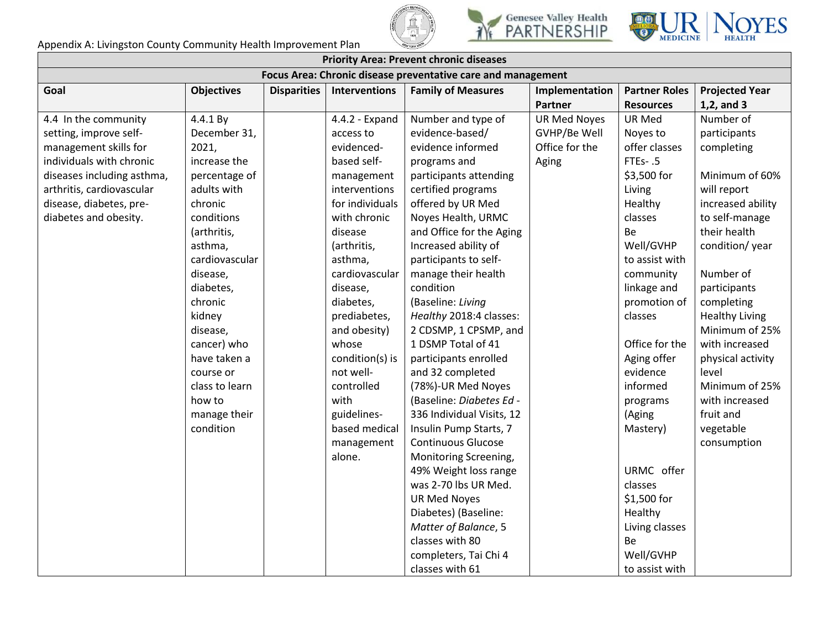





| <b>Priority Area: Prevent chronic diseases</b>               |                   |                    |                      |                           |                     |                      |                       |  |  |  |
|--------------------------------------------------------------|-------------------|--------------------|----------------------|---------------------------|---------------------|----------------------|-----------------------|--|--|--|
| Focus Area: Chronic disease preventative care and management |                   |                    |                      |                           |                     |                      |                       |  |  |  |
| Goal                                                         | <b>Objectives</b> | <b>Disparities</b> | <b>Interventions</b> | <b>Family of Measures</b> | Implementation      | <b>Partner Roles</b> | <b>Projected Year</b> |  |  |  |
|                                                              |                   |                    |                      |                           | <b>Partner</b>      | <b>Resources</b>     | $1,2$ , and 3         |  |  |  |
| 4.4 In the community                                         | 4.4.1 By          |                    | 4.4.2 - Expand       | Number and type of        | <b>UR Med Noyes</b> | UR Med               | Number of             |  |  |  |
| setting, improve self-                                       | December 31,      |                    | access to            | evidence-based/           | GVHP/Be Well        | Noyes to             | participants          |  |  |  |
| management skills for                                        | 2021,             |                    | evidenced-           | evidence informed         | Office for the      | offer classes        | completing            |  |  |  |
| individuals with chronic                                     | increase the      |                    | based self-          | programs and              | Aging               | FTEs-.5              |                       |  |  |  |
| diseases including asthma,                                   | percentage of     |                    | management           | participants attending    |                     | \$3,500 for          | Minimum of 60%        |  |  |  |
| arthritis, cardiovascular                                    | adults with       |                    | interventions        | certified programs        |                     | Living               | will report           |  |  |  |
| disease, diabetes, pre-                                      | chronic           |                    | for individuals      | offered by UR Med         |                     | Healthy              | increased ability     |  |  |  |
| diabetes and obesity.                                        | conditions        |                    | with chronic         | Noyes Health, URMC        |                     | classes              | to self-manage        |  |  |  |
|                                                              | (arthritis,       |                    | disease              | and Office for the Aging  |                     | Be                   | their health          |  |  |  |
|                                                              | asthma,           |                    | (arthritis,          | Increased ability of      |                     | Well/GVHP            | condition/year        |  |  |  |
|                                                              | cardiovascular    |                    | asthma,              | participants to self-     |                     | to assist with       |                       |  |  |  |
|                                                              | disease,          |                    | cardiovascular       | manage their health       |                     | community            | Number of             |  |  |  |
|                                                              | diabetes,         |                    | disease,             | condition                 |                     | linkage and          | participants          |  |  |  |
|                                                              | chronic           |                    | diabetes,            | (Baseline: Living         |                     | promotion of         | completing            |  |  |  |
|                                                              | kidney            |                    | prediabetes,         | Healthy 2018:4 classes:   |                     | classes              | <b>Healthy Living</b> |  |  |  |
|                                                              | disease,          |                    | and obesity)         | 2 CDSMP, 1 CPSMP, and     |                     |                      | Minimum of 25%        |  |  |  |
|                                                              | cancer) who       |                    | whose                | 1 DSMP Total of 41        |                     | Office for the       | with increased        |  |  |  |
|                                                              | have taken a      |                    | condition(s) is      | participants enrolled     |                     | Aging offer          | physical activity     |  |  |  |
|                                                              | course or         |                    | not well-            | and 32 completed          |                     | evidence             | level                 |  |  |  |
|                                                              | class to learn    |                    | controlled           | (78%)-UR Med Noyes        |                     | informed             | Minimum of 25%        |  |  |  |
|                                                              | how to            |                    | with                 | (Baseline: Diabetes Ed -  |                     | programs             | with increased        |  |  |  |
|                                                              | manage their      |                    | guidelines-          | 336 Individual Visits, 12 |                     | (Aging               | fruit and             |  |  |  |
|                                                              | condition         |                    | based medical        | Insulin Pump Starts, 7    |                     | Mastery)             | vegetable             |  |  |  |
|                                                              |                   |                    | management           | <b>Continuous Glucose</b> |                     |                      | consumption           |  |  |  |
|                                                              |                   |                    | alone.               | Monitoring Screening,     |                     |                      |                       |  |  |  |
|                                                              |                   |                    |                      | 49% Weight loss range     |                     | URMC offer           |                       |  |  |  |
|                                                              |                   |                    |                      | was 2-70 lbs UR Med.      |                     | classes              |                       |  |  |  |
|                                                              |                   |                    |                      | <b>UR Med Noyes</b>       |                     | \$1,500 for          |                       |  |  |  |
|                                                              |                   |                    |                      | Diabetes) (Baseline:      |                     | Healthy              |                       |  |  |  |
|                                                              |                   |                    |                      | Matter of Balance, 5      |                     | Living classes       |                       |  |  |  |
|                                                              |                   |                    |                      | classes with 80           |                     | Be                   |                       |  |  |  |
|                                                              |                   |                    |                      | completers, Tai Chi 4     |                     | Well/GVHP            |                       |  |  |  |
|                                                              |                   |                    |                      | classes with 61           |                     | to assist with       |                       |  |  |  |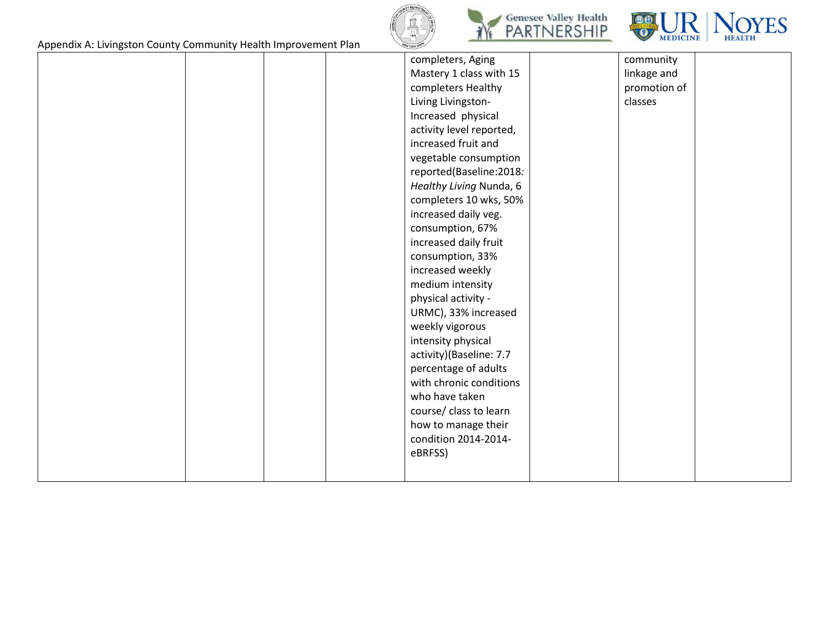





| <u>------------; -------- ---</u> |  |                          |              |  |
|-----------------------------------|--|--------------------------|--------------|--|
|                                   |  | completers, Aging        | community    |  |
|                                   |  | Mastery 1 class with 15  | linkage and  |  |
|                                   |  | completers Healthy       | promotion of |  |
|                                   |  | Living Livingston-       | classes      |  |
|                                   |  | Increased physical       |              |  |
|                                   |  | activity level reported, |              |  |
|                                   |  | increased fruit and      |              |  |
|                                   |  | vegetable consumption    |              |  |
|                                   |  | reported(Baseline:2018:  |              |  |
|                                   |  | Healthy Living Nunda, 6  |              |  |
|                                   |  | completers 10 wks, 50%   |              |  |
|                                   |  | increased daily veg.     |              |  |
|                                   |  | consumption, 67%         |              |  |
|                                   |  | increased daily fruit    |              |  |
|                                   |  | consumption, 33%         |              |  |
|                                   |  | increased weekly         |              |  |
|                                   |  | medium intensity         |              |  |
|                                   |  | physical activity -      |              |  |
|                                   |  | URMC), 33% increased     |              |  |
|                                   |  | weekly vigorous          |              |  |
|                                   |  | intensity physical       |              |  |
|                                   |  | activity)(Baseline: 7.7  |              |  |
|                                   |  | percentage of adults     |              |  |
|                                   |  | with chronic conditions  |              |  |
|                                   |  | who have taken           |              |  |
|                                   |  | course/ class to learn   |              |  |
|                                   |  | how to manage their      |              |  |
|                                   |  | condition 2014-2014-     |              |  |
|                                   |  | eBRFSS)                  |              |  |
|                                   |  |                          |              |  |
|                                   |  |                          |              |  |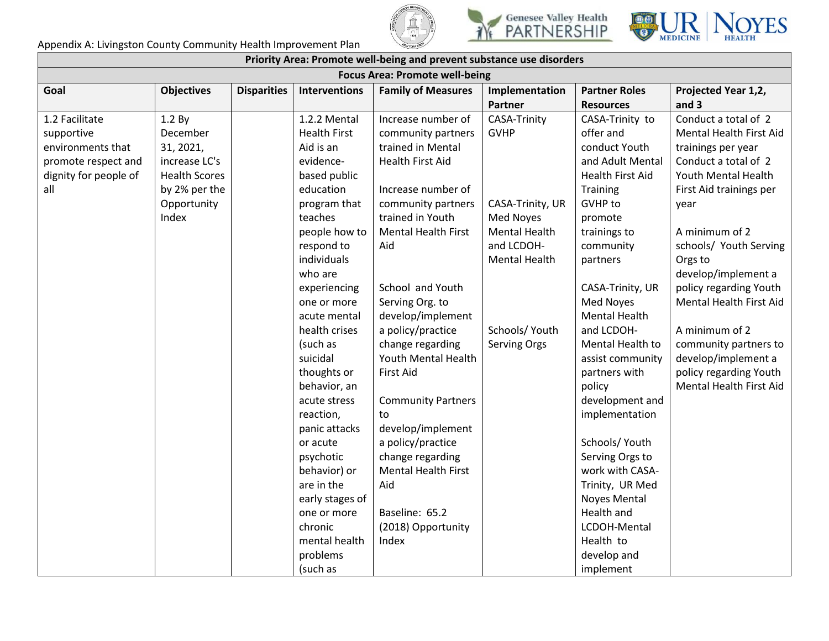





| Priority Area: Promote well-being and prevent substance use disorders |                      |                    |                      |                            |                      |                         |                         |  |  |  |
|-----------------------------------------------------------------------|----------------------|--------------------|----------------------|----------------------------|----------------------|-------------------------|-------------------------|--|--|--|
| <b>Focus Area: Promote well-being</b>                                 |                      |                    |                      |                            |                      |                         |                         |  |  |  |
| Goal                                                                  | <b>Objectives</b>    | <b>Disparities</b> | <b>Interventions</b> | <b>Family of Measures</b>  | Implementation       | <b>Partner Roles</b>    | Projected Year 1,2,     |  |  |  |
|                                                                       |                      |                    |                      |                            | <b>Partner</b>       | <b>Resources</b>        | and $3$                 |  |  |  |
| 1.2 Facilitate                                                        | 1.2 By               |                    | 1.2.2 Mental         | Increase number of         | <b>CASA-Trinity</b>  | CASA-Trinity to         | Conduct a total of 2    |  |  |  |
| supportive                                                            | December             |                    | <b>Health First</b>  | community partners         | <b>GVHP</b>          | offer and               | Mental Health First Aid |  |  |  |
| environments that                                                     | 31, 2021,            |                    | Aid is an            | trained in Mental          |                      | conduct Youth           | trainings per year      |  |  |  |
| promote respect and                                                   | increase LC's        |                    | evidence-            | <b>Health First Aid</b>    |                      | and Adult Mental        | Conduct a total of 2    |  |  |  |
| dignity for people of                                                 | <b>Health Scores</b> |                    | based public         |                            |                      | <b>Health First Aid</b> | Youth Mental Health     |  |  |  |
| all                                                                   | by 2% per the        |                    | education            | Increase number of         |                      | Training                | First Aid trainings per |  |  |  |
|                                                                       | Opportunity          |                    | program that         | community partners         | CASA-Trinity, UR     | GVHP to                 | year                    |  |  |  |
|                                                                       | Index                |                    | teaches              | trained in Youth           | <b>Med Noyes</b>     | promote                 |                         |  |  |  |
|                                                                       |                      |                    | people how to        | <b>Mental Health First</b> | <b>Mental Health</b> | trainings to            | A minimum of 2          |  |  |  |
|                                                                       |                      |                    | respond to           | Aid                        | and LCDOH-           | community               | schools/ Youth Serving  |  |  |  |
|                                                                       |                      |                    | individuals          |                            | <b>Mental Health</b> | partners                | Orgs to                 |  |  |  |
|                                                                       |                      |                    | who are              |                            |                      |                         | develop/implement a     |  |  |  |
|                                                                       |                      |                    | experiencing         | School and Youth           |                      | CASA-Trinity, UR        | policy regarding Youth  |  |  |  |
|                                                                       |                      |                    | one or more          | Serving Org. to            |                      | <b>Med Noyes</b>        | Mental Health First Aid |  |  |  |
|                                                                       |                      |                    | acute mental         | develop/implement          |                      | <b>Mental Health</b>    |                         |  |  |  |
|                                                                       |                      |                    | health crises        | a policy/practice          | Schools/Youth        | and LCDOH-              | A minimum of 2          |  |  |  |
|                                                                       |                      |                    | (such as             | change regarding           | <b>Serving Orgs</b>  | Mental Health to        | community partners to   |  |  |  |
|                                                                       |                      |                    | suicidal             | Youth Mental Health        |                      | assist community        | develop/implement a     |  |  |  |
|                                                                       |                      |                    | thoughts or          | <b>First Aid</b>           |                      | partners with           | policy regarding Youth  |  |  |  |
|                                                                       |                      |                    | behavior, an         |                            |                      | policy                  | Mental Health First Aid |  |  |  |
|                                                                       |                      |                    | acute stress         | <b>Community Partners</b>  |                      | development and         |                         |  |  |  |
|                                                                       |                      |                    | reaction,            | to                         |                      | implementation          |                         |  |  |  |
|                                                                       |                      |                    | panic attacks        | develop/implement          |                      |                         |                         |  |  |  |
|                                                                       |                      |                    | or acute             | a policy/practice          |                      | Schools/Youth           |                         |  |  |  |
|                                                                       |                      |                    | psychotic            | change regarding           |                      | Serving Orgs to         |                         |  |  |  |
|                                                                       |                      |                    | behavior) or         | <b>Mental Health First</b> |                      | work with CASA-         |                         |  |  |  |
|                                                                       |                      |                    | are in the           | Aid                        |                      | Trinity, UR Med         |                         |  |  |  |
|                                                                       |                      |                    | early stages of      |                            |                      | <b>Noyes Mental</b>     |                         |  |  |  |
|                                                                       |                      |                    | one or more          | Baseline: 65.2             |                      | Health and              |                         |  |  |  |
|                                                                       |                      |                    | chronic              | (2018) Opportunity         |                      | LCDOH-Mental            |                         |  |  |  |
|                                                                       |                      |                    | mental health        | Index                      |                      | Health to               |                         |  |  |  |
|                                                                       |                      |                    | problems             |                            |                      | develop and             |                         |  |  |  |
|                                                                       |                      |                    | (such as             |                            |                      | implement               |                         |  |  |  |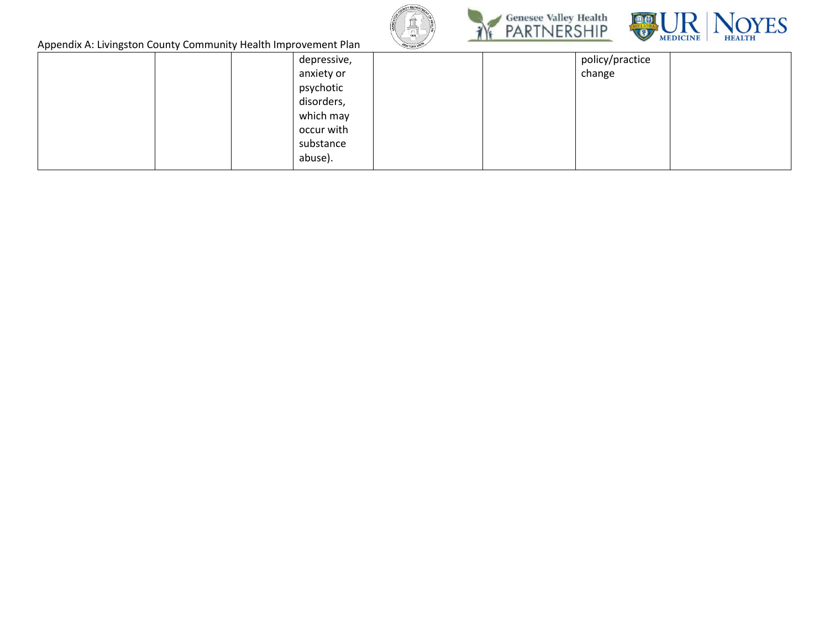





| .<br>$\tilde{}$ | depressive, | policy/practice |
|-----------------|-------------|-----------------|
|                 | anxiety or  | change          |
|                 | psychotic   |                 |
|                 | disorders,  |                 |
|                 | which may   |                 |
|                 | occur with  |                 |
|                 | substance   |                 |
|                 | abuse).     |                 |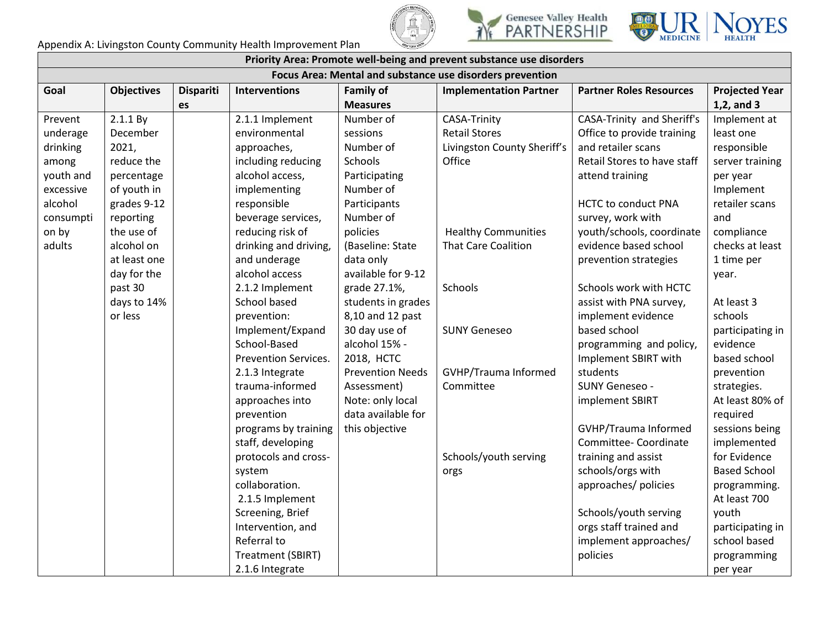





|           | Priority Area: Promote well-being and prevent substance use disorders |                  |                             |                         |                               |                                |                       |  |  |  |
|-----------|-----------------------------------------------------------------------|------------------|-----------------------------|-------------------------|-------------------------------|--------------------------------|-----------------------|--|--|--|
|           | Focus Area: Mental and substance use disorders prevention             |                  |                             |                         |                               |                                |                       |  |  |  |
| Goal      | <b>Objectives</b>                                                     | <b>Dispariti</b> | <b>Interventions</b>        | <b>Family of</b>        | <b>Implementation Partner</b> | <b>Partner Roles Resources</b> | <b>Projected Year</b> |  |  |  |
|           |                                                                       | es               |                             | <b>Measures</b>         |                               |                                | $1,2$ , and 3         |  |  |  |
| Prevent   | 2.1.1 By                                                              |                  | 2.1.1 Implement             | Number of               | CASA-Trinity                  | CASA-Trinity and Sheriff's     | Implement at          |  |  |  |
| underage  | December                                                              |                  | environmental               | sessions                | <b>Retail Stores</b>          | Office to provide training     | least one             |  |  |  |
| drinking  | 2021,                                                                 |                  | approaches,                 | Number of               | Livingston County Sheriff's   | and retailer scans             | responsible           |  |  |  |
| among     | reduce the                                                            |                  | including reducing          | Schools                 | Office                        | Retail Stores to have staff    | server training       |  |  |  |
| youth and | percentage                                                            |                  | alcohol access,             | Participating           |                               | attend training                | per year              |  |  |  |
| excessive | of youth in                                                           |                  | implementing                | Number of               |                               |                                | Implement             |  |  |  |
| alcohol   | grades 9-12                                                           |                  | responsible                 | Participants            |                               | <b>HCTC to conduct PNA</b>     | retailer scans        |  |  |  |
| consumpti | reporting                                                             |                  | beverage services,          | Number of               |                               | survey, work with              | and                   |  |  |  |
| on by     | the use of                                                            |                  | reducing risk of            | policies                | <b>Healthy Communities</b>    | youth/schools, coordinate      | compliance            |  |  |  |
| adults    | alcohol on                                                            |                  | drinking and driving,       | (Baseline: State        | <b>That Care Coalition</b>    | evidence based school          | checks at least       |  |  |  |
|           | at least one                                                          |                  | and underage                | data only               |                               | prevention strategies          | 1 time per            |  |  |  |
|           | day for the                                                           |                  | alcohol access              | available for 9-12      |                               |                                | year.                 |  |  |  |
|           | past 30                                                               |                  | 2.1.2 Implement             | grade 27.1%,            | <b>Schools</b>                | Schools work with HCTC         |                       |  |  |  |
|           | days to 14%                                                           |                  | School based                | students in grades      |                               | assist with PNA survey,        | At least 3            |  |  |  |
|           | or less                                                               |                  | prevention:                 | 8,10 and 12 past        |                               | implement evidence             | schools               |  |  |  |
|           |                                                                       |                  | Implement/Expand            | 30 day use of           | <b>SUNY Geneseo</b>           | based school                   | participating in      |  |  |  |
|           |                                                                       |                  | School-Based                | alcohol 15% -           |                               | programming and policy,        | evidence              |  |  |  |
|           |                                                                       |                  | <b>Prevention Services.</b> | 2018, HCTC              |                               | Implement SBIRT with           | based school          |  |  |  |
|           |                                                                       |                  | 2.1.3 Integrate             | <b>Prevention Needs</b> | GVHP/Trauma Informed          | students                       | prevention            |  |  |  |
|           |                                                                       |                  | trauma-informed             | Assessment)             | Committee                     | SUNY Geneseo -                 | strategies.           |  |  |  |
|           |                                                                       |                  | approaches into             | Note: only local        |                               | implement SBIRT                | At least 80% of       |  |  |  |
|           |                                                                       |                  | prevention                  | data available for      |                               |                                | required              |  |  |  |
|           |                                                                       |                  | programs by training        | this objective          |                               | GVHP/Trauma Informed           | sessions being        |  |  |  |
|           |                                                                       |                  | staff, developing           |                         |                               | Committee-Coordinate           | implemented           |  |  |  |
|           |                                                                       |                  | protocols and cross-        |                         | Schools/youth serving         | training and assist            | for Evidence          |  |  |  |
|           |                                                                       |                  | system                      |                         | orgs                          | schools/orgs with              | <b>Based School</b>   |  |  |  |
|           |                                                                       |                  | collaboration.              |                         |                               | approaches/ policies           | programming.          |  |  |  |
|           |                                                                       |                  | 2.1.5 Implement             |                         |                               |                                | At least 700          |  |  |  |
|           |                                                                       |                  | Screening, Brief            |                         |                               | Schools/youth serving          | youth                 |  |  |  |
|           |                                                                       |                  | Intervention, and           |                         |                               | orgs staff trained and         | participating in      |  |  |  |
|           |                                                                       |                  | Referral to                 |                         |                               | implement approaches/          | school based          |  |  |  |
|           |                                                                       |                  | Treatment (SBIRT)           |                         |                               | policies                       | programming           |  |  |  |
|           |                                                                       |                  | 2.1.6 Integrate             |                         |                               |                                | per year              |  |  |  |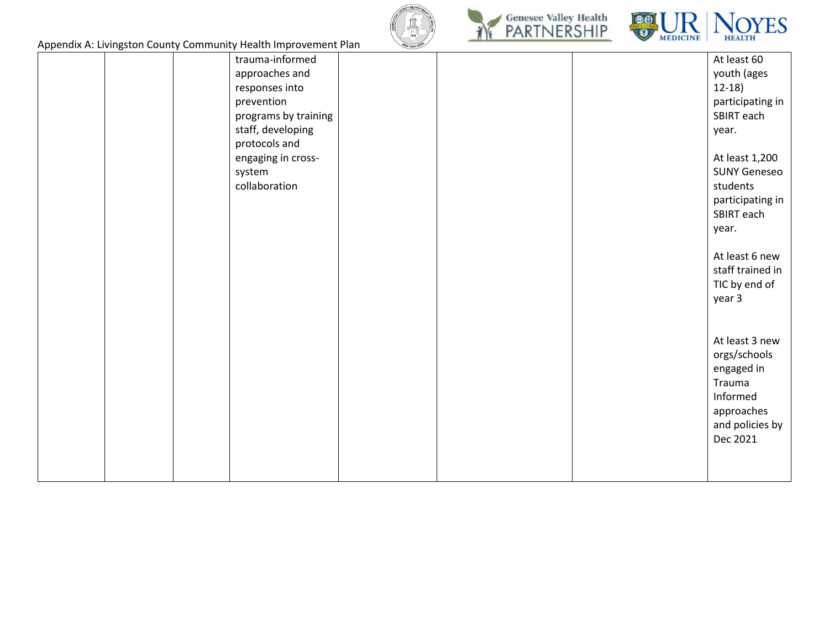





| Appendix A: Livingston County Community Health Improvement Plan | <b>ARW YORK STATE</b> |  |                     |
|-----------------------------------------------------------------|-----------------------|--|---------------------|
| trauma-informed                                                 |                       |  | At least 60         |
| approaches and                                                  |                       |  | youth (ages         |
| responses into                                                  |                       |  | $12-18$             |
| prevention                                                      |                       |  | participating in    |
|                                                                 | programs by training  |  | SBIRT each          |
| staff, developing                                               |                       |  | year.               |
| protocols and                                                   |                       |  |                     |
| engaging in cross-                                              |                       |  | At least 1,200      |
| system                                                          |                       |  | <b>SUNY Geneseo</b> |
| collaboration                                                   |                       |  | students            |
|                                                                 |                       |  | participating in    |
|                                                                 |                       |  | SBIRT each          |
|                                                                 |                       |  | year.               |
|                                                                 |                       |  |                     |
|                                                                 |                       |  | At least 6 new      |
|                                                                 |                       |  | staff trained in    |
|                                                                 |                       |  | TIC by end of       |
|                                                                 |                       |  | year 3              |
|                                                                 |                       |  |                     |
|                                                                 |                       |  |                     |
|                                                                 |                       |  | At least 3 new      |
|                                                                 |                       |  | orgs/schools        |
|                                                                 |                       |  | engaged in          |
|                                                                 |                       |  | Trauma              |
|                                                                 |                       |  | Informed            |
|                                                                 |                       |  | approaches          |
|                                                                 |                       |  | and policies by     |
|                                                                 |                       |  | Dec 2021            |
|                                                                 |                       |  |                     |
|                                                                 |                       |  |                     |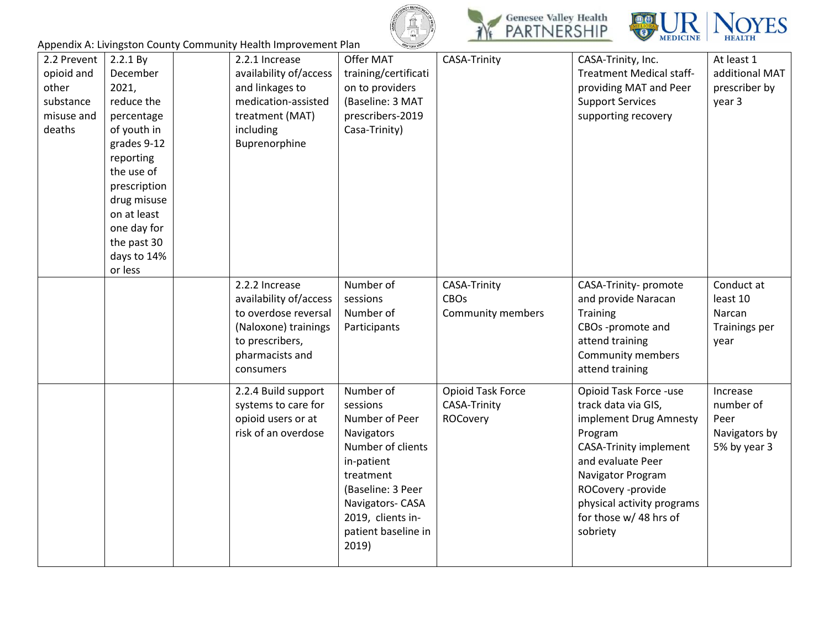





| 2.2 Prevent<br>opioid and<br>other<br>substance<br>misuse and<br>deaths | 2.2.1 By<br>December<br>2021,<br>reduce the<br>percentage<br>of youth in<br>grades 9-12<br>reporting<br>the use of<br>prescription<br>drug misuse<br>on at least<br>one day for<br>the past 30<br>days to 14% | 2.2.1 Increase<br>availability of/access<br>and linkages to<br>medication-assisted<br>treatment (MAT)<br>including<br>Buprenorphine         | Offer MAT<br>training/certificati<br>on to providers<br>(Baseline: 3 MAT<br>prescribers-2019<br>Casa-Trinity)                                                                                      | <b>CASA-Trinity</b>                              | CASA-Trinity, Inc.<br><b>Treatment Medical staff-</b><br>providing MAT and Peer<br><b>Support Services</b><br>supporting recovery                                                                                                                      | At least 1<br>additional MAT<br>prescriber by<br>year 3        |
|-------------------------------------------------------------------------|---------------------------------------------------------------------------------------------------------------------------------------------------------------------------------------------------------------|---------------------------------------------------------------------------------------------------------------------------------------------|----------------------------------------------------------------------------------------------------------------------------------------------------------------------------------------------------|--------------------------------------------------|--------------------------------------------------------------------------------------------------------------------------------------------------------------------------------------------------------------------------------------------------------|----------------------------------------------------------------|
|                                                                         | or less                                                                                                                                                                                                       | 2.2.2 Increase<br>availability of/access<br>to overdose reversal<br>(Naloxone) trainings<br>to prescribers,<br>pharmacists and<br>consumers | Number of<br>sessions<br>Number of<br>Participants                                                                                                                                                 | CASA-Trinity<br><b>CBOs</b><br>Community members | CASA-Trinity- promote<br>and provide Naracan<br>Training<br>CBOs-promote and<br>attend training<br><b>Community members</b><br>attend training                                                                                                         | Conduct at<br>least 10<br>Narcan<br>Trainings per<br>year      |
|                                                                         |                                                                                                                                                                                                               | 2.2.4 Build support<br>systems to care for<br>opioid users or at<br>risk of an overdose                                                     | Number of<br>sessions<br>Number of Peer<br>Navigators<br>Number of clients<br>in-patient<br>treatment<br>(Baseline: 3 Peer<br>Navigators-CASA<br>2019, clients in-<br>patient baseline in<br>2019) | Opioid Task Force<br>CASA-Trinity<br>ROCovery    | Opioid Task Force -use<br>track data via GIS,<br>implement Drug Amnesty<br>Program<br><b>CASA-Trinity implement</b><br>and evaluate Peer<br>Navigator Program<br>ROCovery -provide<br>physical activity programs<br>for those w/ 48 hrs of<br>sobriety | Increase<br>number of<br>Peer<br>Navigators by<br>5% by year 3 |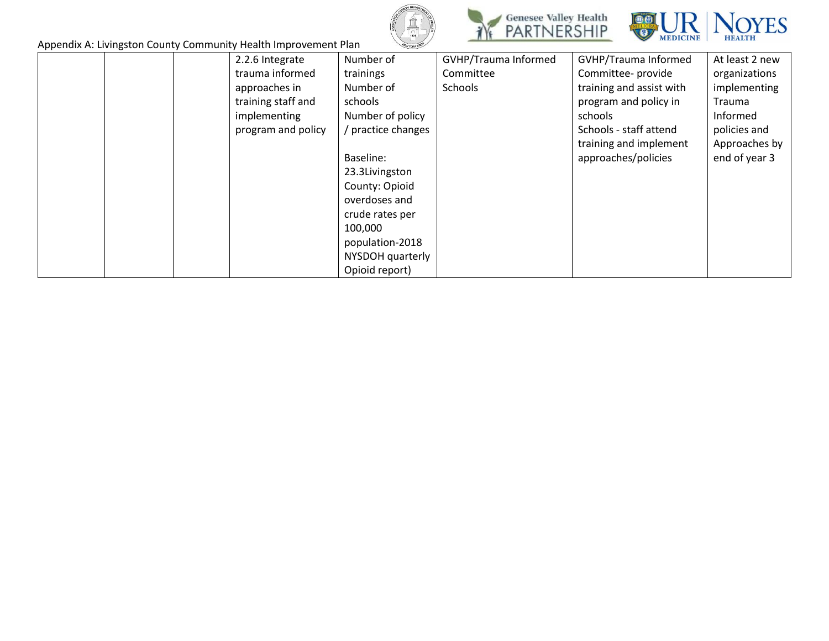





|  | 2.2.6 Integrate    | Number of        | GVHP/Trauma Informed | GVHP/Trauma Informed     | At least 2 new |
|--|--------------------|------------------|----------------------|--------------------------|----------------|
|  | trauma informed    | trainings        | Committee            | Committee- provide       | organizations  |
|  | approaches in      | Number of        | Schools              | training and assist with | implementing   |
|  | training staff and | schools          |                      | program and policy in    | <b>Trauma</b>  |
|  | implementing       | Number of policy |                      | schools                  | Informed       |
|  | program and policy | practice changes |                      | Schools - staff attend   | policies and   |
|  |                    |                  |                      | training and implement   | Approaches by  |
|  |                    | Baseline:        |                      | approaches/policies      | end of year 3  |
|  |                    | 23.3Livingston   |                      |                          |                |
|  |                    | County: Opioid   |                      |                          |                |
|  |                    | overdoses and    |                      |                          |                |
|  |                    | crude rates per  |                      |                          |                |
|  |                    | 100,000          |                      |                          |                |
|  |                    | population-2018  |                      |                          |                |
|  |                    | NYSDOH quarterly |                      |                          |                |
|  |                    | Opioid report)   |                      |                          |                |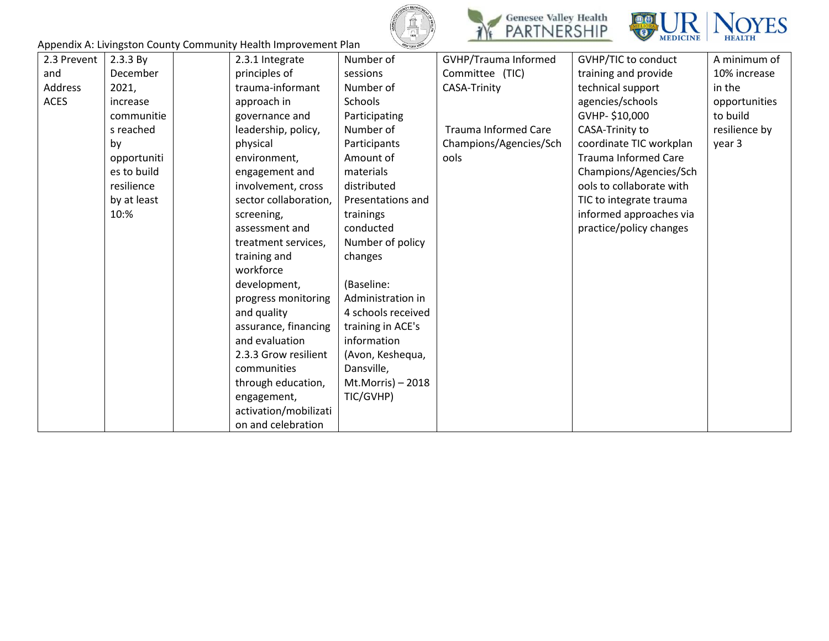





| Appendix A: Livingston County Community Health Improvement Plan |  |
|-----------------------------------------------------------------|--|
|-----------------------------------------------------------------|--|

| 2.3 Prevent    | 2.3.3 By    | 2.3.1 Integrate       | Number of          | GVHP/Trauma Informed        | GVHP/TIC to conduct         | A minimum of  |
|----------------|-------------|-----------------------|--------------------|-----------------------------|-----------------------------|---------------|
| and            | December    | principles of         | sessions           | Committee (TIC)             | training and provide        | 10% increase  |
| <b>Address</b> | 2021,       | trauma-informant      | Number of          | <b>CASA-Trinity</b>         | technical support           | in the        |
| <b>ACES</b>    | increase    | approach in           | Schools            |                             | agencies/schools            | opportunities |
|                | communitie  | governance and        | Participating      |                             | GVHP-\$10,000               | to build      |
|                | s reached   | leadership, policy,   | Number of          | <b>Trauma Informed Care</b> | CASA-Trinity to             | resilience by |
|                | by          | physical              | Participants       | Champions/Agencies/Sch      | coordinate TIC workplan     | year 3        |
|                | opportuniti | environment,          | Amount of          | ools                        | <b>Trauma Informed Care</b> |               |
|                | es to build | engagement and        | materials          |                             | Champions/Agencies/Sch      |               |
|                | resilience  | involvement, cross    | distributed        |                             | ools to collaborate with    |               |
|                | by at least | sector collaboration, | Presentations and  |                             | TIC to integrate trauma     |               |
|                | 10:%        | screening,            | trainings          |                             | informed approaches via     |               |
|                |             | assessment and        | conducted          |                             | practice/policy changes     |               |
|                |             | treatment services,   | Number of policy   |                             |                             |               |
|                |             | training and          | changes            |                             |                             |               |
|                |             | workforce             |                    |                             |                             |               |
|                |             | development,          | (Baseline:         |                             |                             |               |
|                |             | progress monitoring   | Administration in  |                             |                             |               |
|                |             | and quality           | 4 schools received |                             |                             |               |
|                |             | assurance, financing  | training in ACE's  |                             |                             |               |
|                |             | and evaluation        | information        |                             |                             |               |
|                |             | 2.3.3 Grow resilient  | (Avon, Keshequa,   |                             |                             |               |
|                |             | communities           | Dansville,         |                             |                             |               |
|                |             | through education,    | Mt.Morris) - 2018  |                             |                             |               |
|                |             | engagement,           | TIC/GVHP)          |                             |                             |               |
|                |             | activation/mobilizati |                    |                             |                             |               |
|                |             | on and celebration    |                    |                             |                             |               |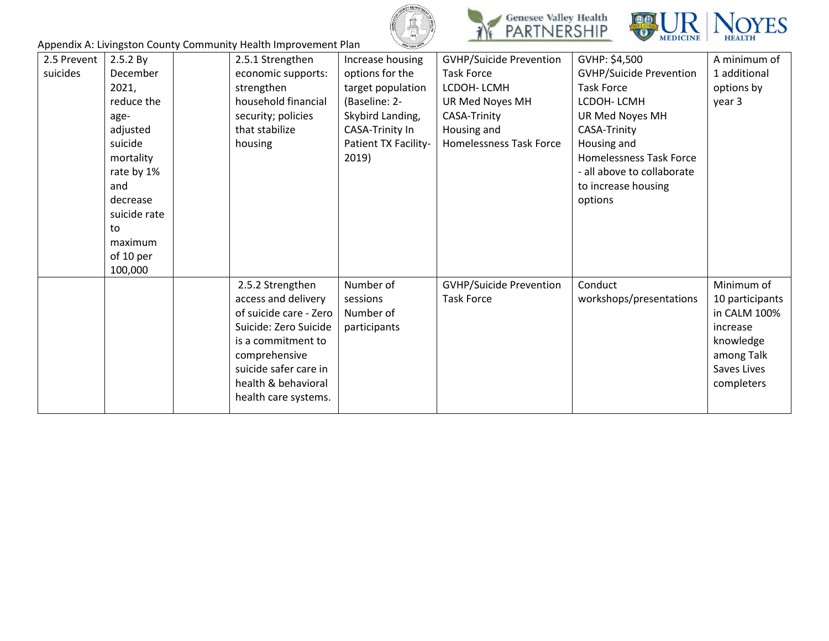





|  | Appendix A: Livingston County Community Health Improvement Plan |
|--|-----------------------------------------------------------------|
|--|-----------------------------------------------------------------|

| suicides<br>options for the<br><b>Task Force</b><br><b>GVHP/Suicide Prevention</b><br>December<br>economic supports:<br>target population<br>LCDOH-LCMH<br><b>Task Force</b><br>2021,<br>strengthen<br>options by<br>household financial<br>(Baseline: 2-<br>reduce the<br>UR Med Noyes MH<br>LCDOH-LCMH<br>year 3<br>Skybird Landing,<br>CASA-Trinity<br>UR Med Noyes MH<br>security; policies<br>age- | 2.5 Prevent | 2.5.2 By | 2.5.1 Strengthen | Increase housing | <b>GVHP/Suicide Prevention</b> | GVHP: \$4,500 | A minimum of    |
|---------------------------------------------------------------------------------------------------------------------------------------------------------------------------------------------------------------------------------------------------------------------------------------------------------------------------------------------------------------------------------------------------------|-------------|----------|------------------|------------------|--------------------------------|---------------|-----------------|
|                                                                                                                                                                                                                                                                                                                                                                                                         |             |          |                  |                  |                                |               | 1 additional    |
|                                                                                                                                                                                                                                                                                                                                                                                                         |             |          |                  |                  |                                |               |                 |
|                                                                                                                                                                                                                                                                                                                                                                                                         |             |          |                  |                  |                                |               |                 |
|                                                                                                                                                                                                                                                                                                                                                                                                         |             |          |                  |                  |                                |               |                 |
| that stabilize<br>CASA-Trinity In<br>Housing and<br>CASA-Trinity<br>adjusted                                                                                                                                                                                                                                                                                                                            |             |          |                  |                  |                                |               |                 |
| suicide<br><b>Homelessness Task Force</b><br>Patient TX Facility-<br>Housing and<br>housing                                                                                                                                                                                                                                                                                                             |             |          |                  |                  |                                |               |                 |
| <b>Homelessness Task Force</b><br>2019)<br>mortality                                                                                                                                                                                                                                                                                                                                                    |             |          |                  |                  |                                |               |                 |
| rate by 1%<br>- all above to collaborate                                                                                                                                                                                                                                                                                                                                                                |             |          |                  |                  |                                |               |                 |
| and<br>to increase housing                                                                                                                                                                                                                                                                                                                                                                              |             |          |                  |                  |                                |               |                 |
| decrease<br>options                                                                                                                                                                                                                                                                                                                                                                                     |             |          |                  |                  |                                |               |                 |
| suicide rate                                                                                                                                                                                                                                                                                                                                                                                            |             |          |                  |                  |                                |               |                 |
| to                                                                                                                                                                                                                                                                                                                                                                                                      |             |          |                  |                  |                                |               |                 |
| maximum                                                                                                                                                                                                                                                                                                                                                                                                 |             |          |                  |                  |                                |               |                 |
| of 10 per                                                                                                                                                                                                                                                                                                                                                                                               |             |          |                  |                  |                                |               |                 |
| 100,000                                                                                                                                                                                                                                                                                                                                                                                                 |             |          |                  |                  |                                |               |                 |
| 2.5.2 Strengthen<br>Number of<br><b>GVHP/Suicide Prevention</b><br>Conduct                                                                                                                                                                                                                                                                                                                              |             |          |                  |                  |                                |               | Minimum of      |
| access and delivery<br><b>Task Force</b><br>workshops/presentations<br>sessions                                                                                                                                                                                                                                                                                                                         |             |          |                  |                  |                                |               | 10 participants |
| of suicide care - Zero<br>Number of                                                                                                                                                                                                                                                                                                                                                                     |             |          |                  |                  |                                |               | in CALM 100%    |
| Suicide: Zero Suicide<br>participants<br>increase                                                                                                                                                                                                                                                                                                                                                       |             |          |                  |                  |                                |               |                 |
| is a commitment to<br>knowledge                                                                                                                                                                                                                                                                                                                                                                         |             |          |                  |                  |                                |               |                 |
| comprehensive<br>among Talk                                                                                                                                                                                                                                                                                                                                                                             |             |          |                  |                  |                                |               |                 |
| suicide safer care in<br>Saves Lives                                                                                                                                                                                                                                                                                                                                                                    |             |          |                  |                  |                                |               |                 |
| health & behavioral<br>completers                                                                                                                                                                                                                                                                                                                                                                       |             |          |                  |                  |                                |               |                 |
| health care systems.                                                                                                                                                                                                                                                                                                                                                                                    |             |          |                  |                  |                                |               |                 |